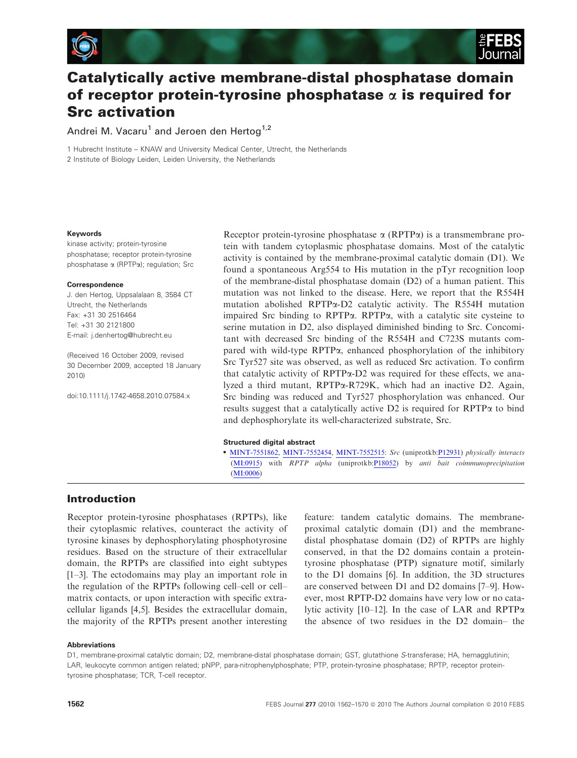



# Catalytically active membrane-distal phosphatase domain of receptor protein-tyrosine phosphatase  $\alpha$  is required for Src activation

Andrei M. Vacaru<sup>1</sup> and Jeroen den Hertog<sup>1,2</sup>

1 Hubrecht Institute – KNAW and University Medical Center, Utrecht, the Netherlands 2 Institute of Biology Leiden, Leiden University, the Netherlands

#### Keywords

kinase activity; protein-tyrosine phosphatase; receptor protein-tyrosine phosphatase a (RPTPa); regulation; Src

#### **Correspondence**

J. den Hertog, Uppsalalaan 8, 3584 CT Utrecht, the Netherlands Fax: +31 30 2516464 Tel: +31 30 2121800 E-mail: j.denhertog@hubrecht.eu

(Received 16 October 2009, revised 30 December 2009, accepted 18 January 2010)

doi:10.1111/j.1742-4658.2010.07584.x

Receptor protein-tyrosine phosphatase  $\alpha$  (RPTP $\alpha$ ) is a transmembrane protein with tandem cytoplasmic phosphatase domains. Most of the catalytic activity is contained by the membrane-proximal catalytic domain (D1). We found a spontaneous Arg554 to His mutation in the pTyr recognition loop of the membrane-distal phosphatase domain (D2) of a human patient. This mutation was not linked to the disease. Here, we report that the R554H mutation abolished RPTPa-D2 catalytic activity. The R554H mutation impaired Src binding to RPTPa. RPTPa, with a catalytic site cysteine to serine mutation in D2, also displayed diminished binding to Src. Concomitant with decreased Src binding of the R554H and C723S mutants compared with wild-type  $RPTP\alpha$ , enhanced phosphorylation of the inhibitory Src Tyr527 site was observed, as well as reduced Src activation. To confirm that catalytic activity of RPTPa-D2 was required for these effects, we analyzed a third mutant, RPTPa-R729K, which had an inactive D2. Again, Src binding was reduced and Tyr527 phosphorylation was enhanced. Our results suggest that a catalytically active D2 is required for RPTPa to bind and dephosphorylate its well-characterized substrate, Src.

#### Structured digital abstract

• [MINT-7551862](http://mint.bio.uniroma2.it/mint/search/interaction.do?interactionAc=MINT-7551862), [MINT-7552454](http://mint.bio.uniroma2.it/mint/search/interaction.do?interactionAc=MINT-7552454), [MINT-7552515](http://mint.bio.uniroma2.it/mint/search/interaction.do?interactionAc=MINT-7552515): Src (uniprotkb[:P12931](http://www.ebi.uniprot.org/entry/P12931)) physically interacts  $(MI:0915)$  $(MI:0915)$  $(MI:0915)$  with  $RPTP$  alpha (uniprotkb:[P18052\)](http://www.ebi.uniprot.org/entry/P18052) by anti bait coimmunoprecipitation ([MI:0006](http://www.ebi.ac.uk/ontology-lookup/?termId=MI:0006))

# Introduction

Receptor protein-tyrosine phosphatases (RPTPs), like their cytoplasmic relatives, counteract the activity of tyrosine kinases by dephosphorylating phosphotyrosine residues. Based on the structure of their extracellular domain, the RPTPs are classified into eight subtypes [1–3]. The ectodomains may play an important role in the regulation of the RPTPs following cell–cell or cell– matrix contacts, or upon interaction with specific extracellular ligands [4,5]. Besides the extracellular domain, the majority of the RPTPs present another interesting feature: tandem catalytic domains. The membraneproximal catalytic domain (D1) and the membranedistal phosphatase domain (D2) of RPTPs are highly conserved, in that the D2 domains contain a proteintyrosine phosphatase (PTP) signature motif, similarly to the D1 domains [6]. In addition, the 3D structures are conserved between D1 and D2 domains [7–9]. However, most RPTP-D2 domains have very low or no catalytic activity [10–12]. In the case of LAR and RPTP $\alpha$ the absence of two residues in the D2 domain– the

#### **Abbreviations**

D1, membrane-proximal catalytic domain; D2, membrane-distal phosphatase domain; GST, glutathione S-transferase; HA, hemagglutinin; LAR, leukocyte common antigen related; pNPP, para-nitrophenylphosphate; PTP, protein-tyrosine phosphatase; RPTP, receptor proteintyrosine phosphatase; TCR, T-cell receptor.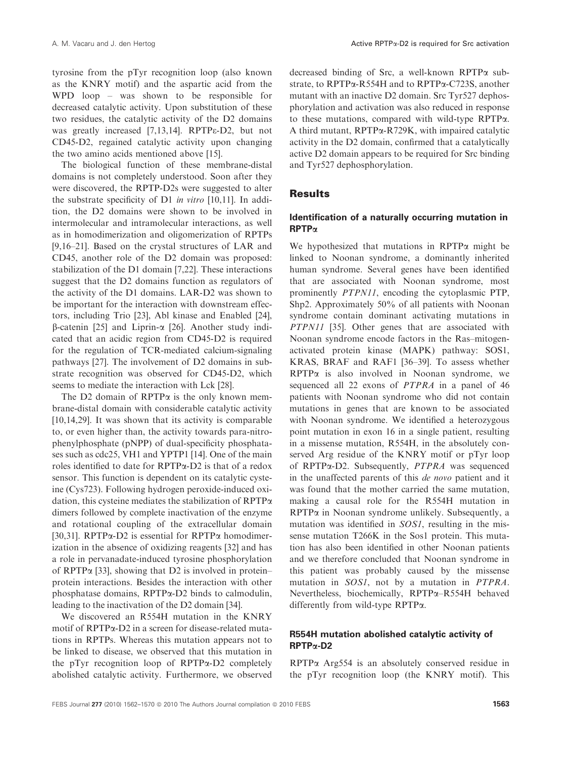tyrosine from the pTyr recognition loop (also known as the KNRY motif) and the aspartic acid from the WPD loop – was shown to be responsible for decreased catalytic activity. Upon substitution of these two residues, the catalytic activity of the D2 domains was greatly increased [7,13,14]. RPTPe-D2, but not CD45-D2, regained catalytic activity upon changing the two amino acids mentioned above [15].

The biological function of these membrane-distal domains is not completely understood. Soon after they were discovered, the RPTP-D2s were suggested to alter the substrate specificity of D1 in vitro [10,11]. In addition, the D2 domains were shown to be involved in intermolecular and intramolecular interactions, as well as in homodimerization and oligomerization of RPTPs [9,16–21]. Based on the crystal structures of LAR and CD45, another role of the D2 domain was proposed: stabilization of the D1 domain [7,22]. These interactions suggest that the D2 domains function as regulators of the activity of the D1 domains. LAR-D2 was shown to be important for the interaction with downstream effectors, including Trio [23], Abl kinase and Enabled [24],  $\beta$ -catenin [25] and Liprin- $\alpha$  [26]. Another study indicated that an acidic region from CD45-D2 is required for the regulation of TCR-mediated calcium-signaling pathways [27]. The involvement of D2 domains in substrate recognition was observed for CD45-D2, which seems to mediate the interaction with Lck [28].

The D2 domain of  $RPTP\alpha$  is the only known membrane-distal domain with considerable catalytic activity [10,14,29]. It was shown that its activity is comparable to, or even higher than, the activity towards para-nitrophenylphosphate (pNPP) of dual-specificity phosphatases such as cdc25, VH1 and YPTP1 [14]. One of the main roles identified to date for RPTPa-D2 is that of a redox sensor. This function is dependent on its catalytic cysteine (Cys723). Following hydrogen peroxide-induced oxidation, this cysteine mediates the stabilization of RPTPa dimers followed by complete inactivation of the enzyme and rotational coupling of the extracellular domain [30,31]. RPTP $\alpha$ -D2 is essential for RPTP $\alpha$  homodimerization in the absence of oxidizing reagents [32] and has a role in pervanadate-induced tyrosine phosphorylation of RPTP $\alpha$  [33], showing that D2 is involved in protein– protein interactions. Besides the interaction with other phosphatase domains, RPTPa-D2 binds to calmodulin, leading to the inactivation of the D2 domain [34].

We discovered an R554H mutation in the KNRY motif of RPTPa-D2 in a screen for disease-related mutations in RPTPs. Whereas this mutation appears not to be linked to disease, we observed that this mutation in the pTyr recognition loop of RPTPa-D2 completely abolished catalytic activity. Furthermore, we observed

decreased binding of Src, a well-known RPTPa substrate, to RPTPa-R554H and to RPTPa-C723S, another mutant with an inactive D2 domain. Src Tyr527 dephosphorylation and activation was also reduced in response to these mutations, compared with wild-type RPTPa. A third mutant, RPTPa-R729K, with impaired catalytic activity in the D2 domain, confirmed that a catalytically active D2 domain appears to be required for Src binding and Tyr527 dephosphorylation.

# **Results**

## Identification of a naturally occurring mutation in RPTPa

We hypothesized that mutations in RPTP $\alpha$  might be linked to Noonan syndrome, a dominantly inherited human syndrome. Several genes have been identified that are associated with Noonan syndrome, most prominently PTPN11, encoding the cytoplasmic PTP, Shp2. Approximately 50% of all patients with Noonan syndrome contain dominant activating mutations in PTPN11 [35]. Other genes that are associated with Noonan syndrome encode factors in the Ras–mitogenactivated protein kinase (MAPK) pathway: SOS1, KRAS, BRAF and RAF1 [36–39]. To assess whether RPTPa is also involved in Noonan syndrome, we sequenced all 22 exons of PTPRA in a panel of 46 patients with Noonan syndrome who did not contain mutations in genes that are known to be associated with Noonan syndrome. We identified a heterozygous point mutation in exon 16 in a single patient, resulting in a missense mutation, R554H, in the absolutely conserved Arg residue of the KNRY motif or pTyr loop of RPTPa-D2. Subsequently, PTPRA was sequenced in the unaffected parents of this de novo patient and it was found that the mother carried the same mutation, making a causal role for the R554H mutation in RPTPa in Noonan syndrome unlikely. Subsequently, a mutation was identified in SOS1, resulting in the missense mutation T266K in the Sos1 protein. This mutation has also been identified in other Noonan patients and we therefore concluded that Noonan syndrome in this patient was probably caused by the missense mutation in SOS1, not by a mutation in PTPRA. Nevertheless, biochemically, RPTPa–R554H behaved differently from wild-type RPTPa.

# R554H mutation abolished catalytic activity of RPTPa-D2

RPTPa Arg554 is an absolutely conserved residue in the pTyr recognition loop (the KNRY motif). This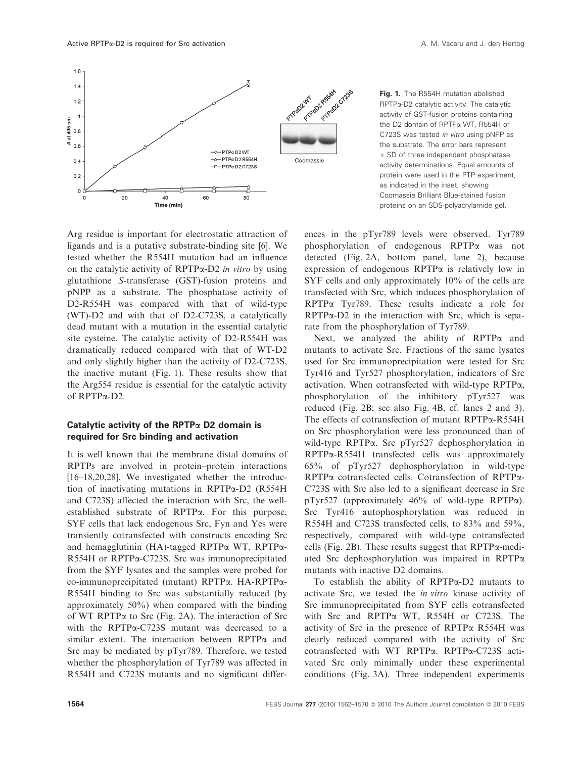

Fig. 1. The R554H mutation abolished RPTPa-D2 catalytic activity. The catalytic activity of GST-fusion proteins containing the D2 domain of RPTPa WT, R554H or C723S was tested in vitro using pNPP as the substrate. The error bars represent ± SD of three independent phosphatase activity determinations. Equal amounts of protein were used in the PTP experiment, as indicated in the inset, showing Coomassie Brilliant Blue-stained fusion proteins on an SDS-polyacrylamide gel.

Arg residue is important for electrostatic attraction of ligands and is a putative substrate-binding site [6]. We tested whether the R554H mutation had an influence on the catalytic activity of  $RPTP\alpha-D2$  in vitro by using glutathione S-transferase (GST)-fusion proteins and pNPP as a substrate. The phosphatase activity of D2-R554H was compared with that of wild-type (WT)-D2 and with that of D2-C723S, a catalytically dead mutant with a mutation in the essential catalytic site cysteine. The catalytic activity of D2-R554H was dramatically reduced compared with that of WT-D2 and only slightly higher than the activity of D2-C723S, the inactive mutant (Fig. 1). These results show that the Arg554 residue is essential for the catalytic activity of RPTPa-D2.

# Catalytic activity of the RPTP $\alpha$  D2 domain is required for Src binding and activation

It is well known that the membrane distal domains of RPTPs are involved in protein–protein interactions [16–18,20,28]. We investigated whether the introduction of inactivating mutations in RPTPa-D2 (R554H and C723S) affected the interaction with Src, the wellestablished substrate of RPTPa. For this purpose, SYF cells that lack endogenous Src, Fyn and Yes were transiently cotransfected with constructs encoding Src and hemagglutinin (HA)-tagged RPTP $\alpha$  WT, RPTP $\alpha$ -R554H or RPTPa-C723S. Src was immunoprecipitated from the SYF lysates and the samples were probed for co-immunoprecipitated (mutant) RPTPa. HA-RPTPa-R554H binding to Src was substantially reduced (by approximately 50%) when compared with the binding of WT RPTPa to Src (Fig. 2A). The interaction of Src with the RPTPa-C723S mutant was decreased to a similar extent. The interaction between  $RPTP\alpha$  and Src may be mediated by pTyr789. Therefore, we tested whether the phosphorylation of Tyr789 was affected in R554H and C723S mutants and no significant differences in the pTyr789 levels were observed. Tyr789 phosphorylation of endogenous RPTPa was not detected (Fig. 2A, bottom panel, lane 2), because expression of endogenous  $\mathsf{RPTP}\alpha$  is relatively low in SYF cells and only approximately 10% of the cells are transfected with Src, which induces phosphorylation of RPTPa Tyr789. These results indicate a role for  $RPTP\alpha-D2$  in the interaction with Src, which is separate from the phosphorylation of Tyr789.

Next, we analyzed the ability of  $RPTP\alpha$  and mutants to activate Src. Fractions of the same lysates used for Src immunoprecipitation were tested for Src Tyr416 and Tyr527 phosphorylation, indicators of Src activation. When cotransfected with wild-type RPTPa, phosphorylation of the inhibitory pTyr527 was reduced (Fig. 2B; see also Fig. 4B, cf. lanes 2 and 3). The effects of cotransfection of mutant RPTPa-R554H on Src phosphorylation were less pronounced than of wild-type RPTPa. Src pTyr527 dephosphorylation in RPTPa-R554H transfected cells was approximately 65% of pTyr527 dephosphorylation in wild-type RPTPa cotransfected cells. Cotransfection of RPTPa-C723S with Src also led to a significant decrease in Src pTyr527 (approximately 46% of wild-type RPTPa). Src Tyr416 autophosphorylation was reduced in R554H and C723S transfected cells, to 83% and 59%, respectively, compared with wild-type cotransfected cells (Fig. 2B). These results suggest that  $RPTP\alpha$ -mediated Src dephosphorylation was impaired in RPTPa mutants with inactive D2 domains.

To establish the ability of RPTPa-D2 mutants to activate Src, we tested the in vitro kinase activity of Src immunoprecipitated from SYF cells cotransfected with Src and RPTPa WT, R554H or C723S. The activity of Src in the presence of RPTPa R554H was clearly reduced compared with the activity of Src cotransfected with WT RPTPa. RPTPa-C723S activated Src only minimally under these experimental conditions (Fig. 3A). Three independent experiments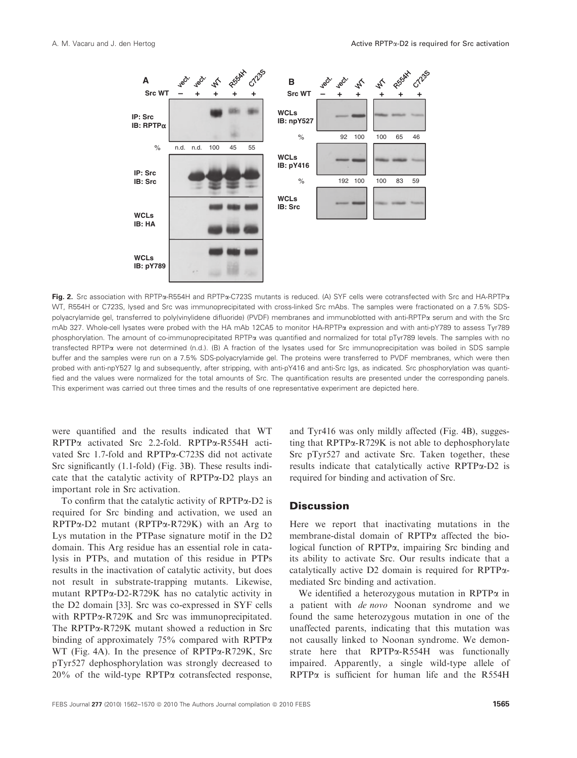

Fig. 2. Src association with RPTPa-R554H and RPTPa-C723S mutants is reduced. (A) SYF cells were cotransfected with Src and HA-RPTPa WT, R554H or C723S, lysed and Src was immunoprecipitated with cross-linked Src mAbs. The samples were fractionated on a 7.5% SDSpolyacrylamide gel, transferred to poly(vinylidene difluoride) (PVDF) membranes and immunoblotted with anti-RPTPa serum and with the Src mAb 327. Whole-cell lysates were probed with the HA mAb 12CA5 to monitor HA-RPTPa expression and with anti-pY789 to assess Tyr789 phosphorylation. The amount of co-immunoprecipitated RPTPa was quantified and normalized for total pTyr789 levels. The samples with no transfected RPTPa were not determined (n.d.). (B) A fraction of the lysates used for Src immunoprecipitation was boiled in SDS sample buffer and the samples were run on a 7.5% SDS-polyacrylamide gel. The proteins were transferred to PVDF membranes, which were then probed with anti-npY527 Ig and subsequently, after stripping, with anti-pY416 and anti-Src Igs, as indicated. Src phosphorylation was quantified and the values were normalized for the total amounts of Src. The quantification results are presented under the corresponding panels. This experiment was carried out three times and the results of one representative experiment are depicted here.

were quantified and the results indicated that WT RPTPa activated Src 2.2-fold. RPTPa-R554H activated Src 1.7-fold and RPTPa-C723S did not activate Src significantly (1.1-fold) (Fig. 3B). These results indicate that the catalytic activity of RPTPa-D2 plays an important role in Src activation.

To confirm that the catalytic activity of RPTPa-D2 is required for Src binding and activation, we used an RPTPa-D2 mutant (RPTPa-R729K) with an Arg to Lys mutation in the PTPase signature motif in the D2 domain. This Arg residue has an essential role in catalysis in PTPs, and mutation of this residue in PTPs results in the inactivation of catalytic activity, but does not result in substrate-trapping mutants. Likewise, mutant RPTPa-D2-R729K has no catalytic activity in the D2 domain [33]. Src was co-expressed in SYF cells with RPTPa-R729K and Src was immunoprecipitated. The RPTPa-R729K mutant showed a reduction in Src binding of approximately 75% compared with RPTP $\alpha$ WT (Fig. 4A). In the presence of RPTPa-R729K, Src pTyr527 dephosphorylation was strongly decreased to  $20\%$  of the wild-type RPTP $\alpha$  cotransfected response,

and Tyr416 was only mildly affected (Fig. 4B), suggesting that  $RPTP\alpha-R729K$  is not able to dephosphorylate Src pTyr527 and activate Src. Taken together, these results indicate that catalytically active RPTPa-D2 is required for binding and activation of Src.

### **Discussion**

Here we report that inactivating mutations in the membrane-distal domain of RPTPa affected the biological function of RPTPα, impairing Src binding and its ability to activate Src. Our results indicate that a catalytically active D2 domain is required for RPTPamediated Src binding and activation.

We identified a heterozygous mutation in RPTP $\alpha$  in a patient with de novo Noonan syndrome and we found the same heterozygous mutation in one of the unaffected parents, indicating that this mutation was not causally linked to Noonan syndrome. We demonstrate here that RPTPa-R554H was functionally impaired. Apparently, a single wild-type allele of  $RPTP\alpha$  is sufficient for human life and the R554H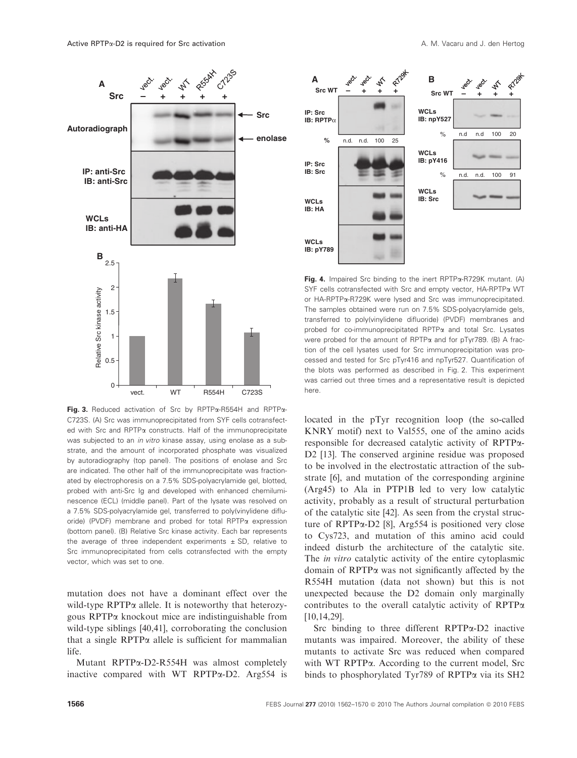

Fig. 3. Reduced activation of Src by RPTPa-R554H and RPTPa-C723S. (A) Src was immunoprecipitated from SYF cells cotransfected with Src and RPTP<sub>a</sub> constructs. Half of the immunoprecipitate was subjected to an in vitro kinase assay, using enolase as a substrate, and the amount of incorporated phosphate was visualized by autoradiography (top panel). The positions of enolase and Src are indicated. The other half of the immunoprecipitate was fractionated by electrophoresis on a 7.5% SDS-polyacrylamide gel, blotted, probed with anti-Src Ig and developed with enhanced chemiluminescence (ECL) (middle panel). Part of the lysate was resolved on a 7.5% SDS-polyacrylamide gel, transferred to poly(vinylidene difluoride) (PVDF) membrane and probed for total RPTP $\alpha$  expression (bottom panel). (B) Relative Src kinase activity. Each bar represents the average of three independent experiments  $\pm$  SD, relative to Src immunoprecipitated from cells cotransfected with the empty vector, which was set to one.

mutation does not have a dominant effect over the wild-type RPTP $\alpha$  allele. It is noteworthy that heterozygous RPTPa knockout mice are indistinguishable from wild-type siblings [40,41], corroborating the conclusion that a single  $RPTP\alpha$  allele is sufficient for mammalian life.

Mutant RPTPa-D2-R554H was almost completely inactive compared with WT RPTPa-D2. Arg554 is



Fig. 4. Impaired Src binding to the inert RPTPa-R729K mutant. (A) SYF cells cotransfected with Src and empty vector, HA-RPTPa WT or HA-RPTPa-R729K were lysed and Src was immunoprecipitated. The samples obtained were run on 7.5% SDS-polyacrylamide gels, transferred to poly(vinylidene difluoride) (PVDF) membranes and probed for co-immunoprecipitated RPTPa and total Src. Lysates were probed for the amount of RPTPa and for pTyr789. (B) A fraction of the cell lysates used for Src immunoprecipitation was processed and tested for Src pTyr416 and npTyr527. Quantification of the blots was performed as described in Fig. 2. This experiment was carried out three times and a representative result is depicted here.

located in the pTyr recognition loop (the so-called KNRY motif) next to Val555, one of the amino acids responsible for decreased catalytic activity of RPTPa-D2 [13]. The conserved arginine residue was proposed to be involved in the electrostatic attraction of the substrate [6], and mutation of the corresponding arginine (Arg45) to Ala in PTP1B led to very low catalytic activity, probably as a result of structural perturbation of the catalytic site [42]. As seen from the crystal structure of RPTPa-D2 [8], Arg554 is positioned very close to Cys723, and mutation of this amino acid could indeed disturb the architecture of the catalytic site. The *in vitro* catalytic activity of the entire cytoplasmic domain of RPTPa was not significantly affected by the R554H mutation (data not shown) but this is not unexpected because the D2 domain only marginally contributes to the overall catalytic activity of  $RPTP\alpha$ [10,14,29].

Src binding to three different  $RPTP\alpha-D2$  inactive mutants was impaired. Moreover, the ability of these mutants to activate Src was reduced when compared with WT RPTP $\alpha$ . According to the current model, Src binds to phosphorylated Tyr789 of RPTPa via its SH2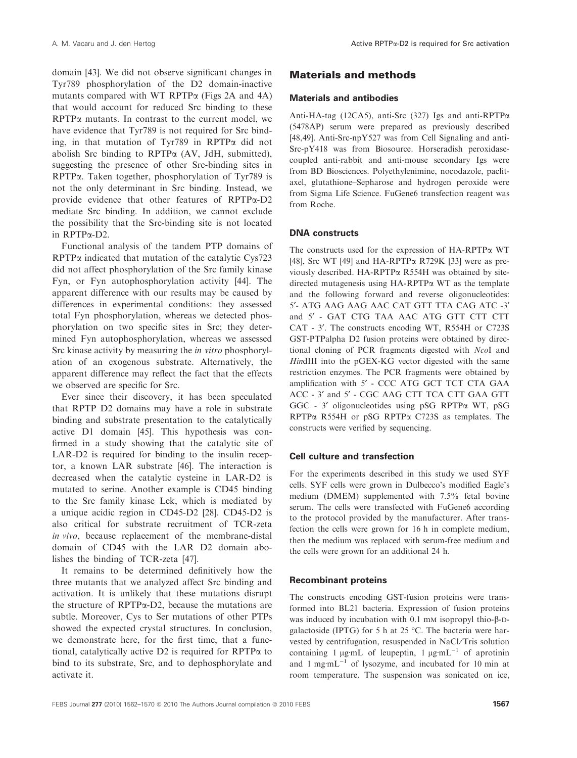domain [43]. We did not observe significant changes in Tyr789 phosphorylation of the D2 domain-inactive mutants compared with WT RPTP $\alpha$  (Figs 2A and 4A) that would account for reduced Src binding to these  $RPTP\alpha$  mutants. In contrast to the current model, we have evidence that Tyr789 is not required for Src binding, in that mutation of Tyr789 in RPTPa did not abolish Src binding to  $RPTP\alpha$  (AV, JdH, submitted), suggesting the presence of other Src-binding sites in RPTPa. Taken together, phosphorylation of Tyr789 is not the only determinant in Src binding. Instead, we provide evidence that other features of RPTPa-D2 mediate Src binding. In addition, we cannot exclude the possibility that the Src-binding site is not located in RPTPa-D2.

Functional analysis of the tandem PTP domains of RPTPa indicated that mutation of the catalytic Cys723 did not affect phosphorylation of the Src family kinase Fyn, or Fyn autophosphorylation activity [44]. The apparent difference with our results may be caused by differences in experimental conditions: they assessed total Fyn phosphorylation, whereas we detected phosphorylation on two specific sites in Src; they determined Fyn autophosphorylation, whereas we assessed Src kinase activity by measuring the *in vitro* phosphorylation of an exogenous substrate. Alternatively, the apparent difference may reflect the fact that the effects we observed are specific for Src.

Ever since their discovery, it has been speculated that RPTP D2 domains may have a role in substrate binding and substrate presentation to the catalytically active D1 domain [45]. This hypothesis was confirmed in a study showing that the catalytic site of LAR-D2 is required for binding to the insulin receptor, a known LAR substrate [46]. The interaction is decreased when the catalytic cysteine in LAR-D2 is mutated to serine. Another example is CD45 binding to the Src family kinase Lck, which is mediated by a unique acidic region in CD45-D2 [28]. CD45-D2 is also critical for substrate recruitment of TCR-zeta in vivo, because replacement of the membrane-distal domain of CD45 with the LAR D2 domain abolishes the binding of TCR-zeta [47].

It remains to be determined definitively how the three mutants that we analyzed affect Src binding and activation. It is unlikely that these mutations disrupt the structure of RPTPa-D2, because the mutations are subtle. Moreover, Cys to Ser mutations of other PTPs showed the expected crystal structures. In conclusion, we demonstrate here, for the first time, that a functional, catalytically active D2 is required for RPTPa to bind to its substrate, Src, and to dephosphorylate and activate it.

# Materials and methods

#### Materials and antibodies

Anti-HA-tag (12CA5), anti-Src (327) Igs and anti-RPTPa (5478AP) serum were prepared as previously described [48,49]. Anti-Src-npY527 was from Cell Signaling and anti-Src-pY418 was from Biosource. Horseradish peroxidasecoupled anti-rabbit and anti-mouse secondary Igs were from BD Biosciences. Polyethylenimine, nocodazole, paclitaxel, glutathione–Sepharose and hydrogen peroxide were from Sigma Life Science. FuGene6 transfection reagent was from Roche.

### DNA constructs

The constructs used for the expression of HA-RPTPa WT [48], Src WT [49] and HA-RPTP $\alpha$  R729K [33] were as previously described. HA-RPTPa R554H was obtained by sitedirected mutagenesis using  $HA-RPTP\alpha$  WT as the template and the following forward and reverse oligonucleotides: 5¢- ATG AAG AAG AAC CAT GTT TTA CAG ATC -3¢ and 5' - GAT CTG TAA AAC ATG GTT CTT CTT CAT - 3'. The constructs encoding WT, R554H or C723S GST-PTPalpha D2 fusion proteins were obtained by directional cloning of PCR fragments digested with NcoI and HindIII into the pGEX-KG vector digested with the same restriction enzymes. The PCR fragments were obtained by amplification with 5' - CCC ATG GCT TCT CTA GAA ACC - 3' and 5' - CGC AAG CTT TCA CTT GAA GTT GGC - 3¢ oligonucleotides using pSG RPTPa WT, pSG RPTPa R554H or pSG RPTPa C723S as templates. The constructs were verified by sequencing.

#### Cell culture and transfection

For the experiments described in this study we used SYF cells. SYF cells were grown in Dulbecco's modified Eagle's medium (DMEM) supplemented with 7.5% fetal bovine serum. The cells were transfected with FuGene6 according to the protocol provided by the manufacturer. After transfection the cells were grown for 16 h in complete medium, then the medium was replaced with serum-free medium and the cells were grown for an additional 24 h.

#### Recombinant proteins

The constructs encoding GST-fusion proteins were transformed into BL21 bacteria. Expression of fusion proteins was induced by incubation with  $0.1 \text{ mm}$  isopropyl thio- $\beta$ -Dgalactoside (IPTG) for 5 h at 25  $^{\circ}$ C. The bacteria were harvested by centrifugation, resuspended in NaCl/Tris solution containing 1  $\mu$ g·mL of leupeptin, 1  $\mu$ g·mL<sup>-1</sup> of aprotinin and 1 mg·mL<sup>-1</sup> of lysozyme, and incubated for 10 min at room temperature. The suspension was sonicated on ice,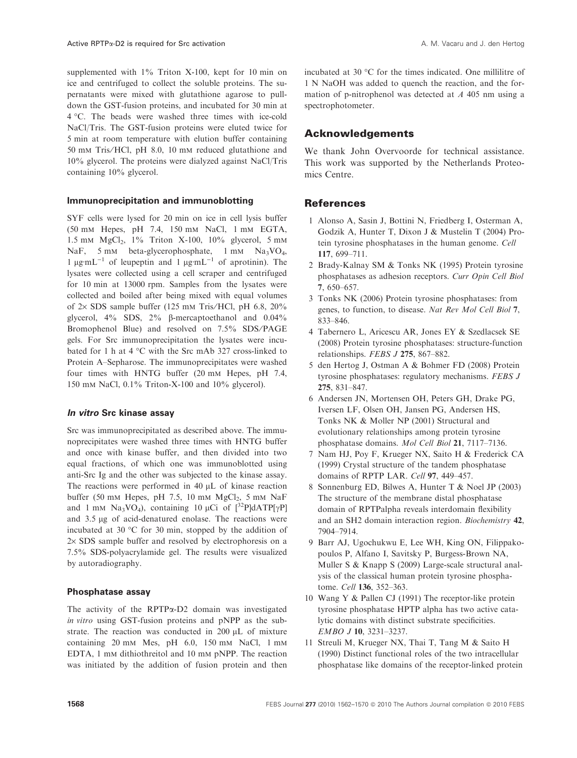supplemented with  $1\%$  Triton X-100, kept for 10 min on ice and centrifuged to collect the soluble proteins. The supernatants were mixed with glutathione agarose to pulldown the GST-fusion proteins, and incubated for 30 min at 4 -C. The beads were washed three times with ice-cold NaCl/Tris. The GST-fusion proteins were eluted twice for 5 min at room temperature with elution buffer containing 50 mm Tris⁄ HCl, pH 8.0, 10 mm reduced glutathione and 10% glycerol. The proteins were dialyzed against NaCl/Tris containing 10% glycerol.

#### Immunoprecipitation and immunoblotting

SYF cells were lysed for 20 min on ice in cell lysis buffer (50 mm Hepes, pH 7.4, 150 mm NaCl, 1 mm EGTA, 1.5 mm  $MgCl<sub>2</sub>$ , 1% Triton X-100, 10% glycerol, 5 mm NaF, 5 mm beta-glycerophosphate, 1 mm Na<sub>3</sub>VO<sub>4</sub>, 1  $\mu$ g·mL<sup>-1</sup> of leupeptin and 1  $\mu$ g·mL<sup>-1</sup> of aprotinin). The lysates were collected using a cell scraper and centrifuged for 10 min at 13000 rpm. Samples from the lysates were collected and boiled after being mixed with equal volumes of  $2 \times$  SDS sample buffer (125 mm Tris/HCl, pH 6.8, 20%) glycerol,  $4\%$  SDS,  $2\%$   $\beta$ -mercaptoethanol and  $0.04\%$ Bromophenol Blue) and resolved on 7.5% SDS/PAGE gels. For Src immunoprecipitation the lysates were incubated for 1 h at 4  $\degree$ C with the Src mAb 327 cross-linked to Protein A–Sepharose. The immunoprecipitates were washed four times with HNTG buffer (20 mm Hepes, pH 7.4, 150 mm NaCl, 0.1% Triton-X-100 and 10% glycerol).

#### In vitro Src kinase assay

Src was immunoprecipitated as described above. The immunoprecipitates were washed three times with HNTG buffer and once with kinase buffer, and then divided into two equal fractions, of which one was immunoblotted using anti-Src Ig and the other was subjected to the kinase assay. The reactions were performed in  $40 \mu L$  of kinase reaction buffer (50 mm Hepes, pH 7.5, 10 mm  $MgCl<sub>2</sub>$ , 5 mm NaF and 1 mm Na<sub>3</sub>VO<sub>4</sub>), containing 10  $\mu$ Ci of  $\int^{32}P\text{d}ATP[\gamma P]$ and 3.5 µg of acid-denatured enolase. The reactions were incubated at 30  $\degree$ C for 30 min, stopped by the addition of  $2\times$  SDS sample buffer and resolved by electrophoresis on a 7.5% SDS-polyacrylamide gel. The results were visualized by autoradiography.

### Phosphatase assay

The activity of the RPTPa-D2 domain was investigated in vitro using GST-fusion proteins and pNPP as the substrate. The reaction was conducted in  $200 \mu L$  of mixture containing 20 mm Mes, pH 6.0, 150 mm NaCl, 1 mm EDTA, 1 mm dithiothreitol and 10 mm pNPP. The reaction was initiated by the addition of fusion protein and then

incubated at 30  $\degree$ C for the times indicated. One millilitre of 1 N NaOH was added to quench the reaction, and the formation of p-nitrophenol was detected at A 405 nm using a spectrophotometer.

# Acknowledgements

We thank John Overvoorde for technical assistance. This work was supported by the Netherlands Proteomics Centre.

# **References**

- 1 Alonso A, Sasin J, Bottini N, Friedberg I, Osterman A, Godzik A, Hunter T, Dixon J & Mustelin T (2004) Protein tyrosine phosphatases in the human genome. Cell 117, 699–711.
- 2 Brady-Kalnay SM & Tonks NK (1995) Protein tyrosine phosphatases as adhesion receptors. Curr Opin Cell Biol 7, 650–657.
- 3 Tonks NK (2006) Protein tyrosine phosphatases: from genes, to function, to disease. Nat Rev Mol Cell Biol 7, 833–846.
- 4 Tabernero L, Aricescu AR, Jones EY & Szedlacsek SE (2008) Protein tyrosine phosphatases: structure-function relationships. FEBS J 275, 867–882.
- 5 den Hertog J, Ostman A & Bohmer FD (2008) Protein tyrosine phosphatases: regulatory mechanisms. FEBS J 275, 831–847.
- 6 Andersen JN, Mortensen OH, Peters GH, Drake PG, Iversen LF, Olsen OH, Jansen PG, Andersen HS, Tonks NK & Moller NP (2001) Structural and evolutionary relationships among protein tyrosine phosphatase domains. Mol Cell Biol 21, 7117–7136.
- 7 Nam HJ, Poy F, Krueger NX, Saito H & Frederick CA (1999) Crystal structure of the tandem phosphatase domains of RPTP LAR. Cell 97, 449-457.
- 8 Sonnenburg ED, Bilwes A, Hunter T & Noel JP (2003) The structure of the membrane distal phosphatase domain of RPTPalpha reveals interdomain flexibility and an SH2 domain interaction region. Biochemistry 42, 7904–7914.
- 9 Barr AJ, Ugochukwu E, Lee WH, King ON, Filippakopoulos P, Alfano I, Savitsky P, Burgess-Brown NA, Muller S & Knapp S (2009) Large-scale structural analysis of the classical human protein tyrosine phosphatome. Cell 136, 352–363.
- 10 Wang Y & Pallen CJ (1991) The receptor-like protein tyrosine phosphatase HPTP alpha has two active catalytic domains with distinct substrate specificities. EMBO J 10, 3231–3237.
- 11 Streuli M, Krueger NX, Thai T, Tang M & Saito H (1990) Distinct functional roles of the two intracellular phosphatase like domains of the receptor-linked protein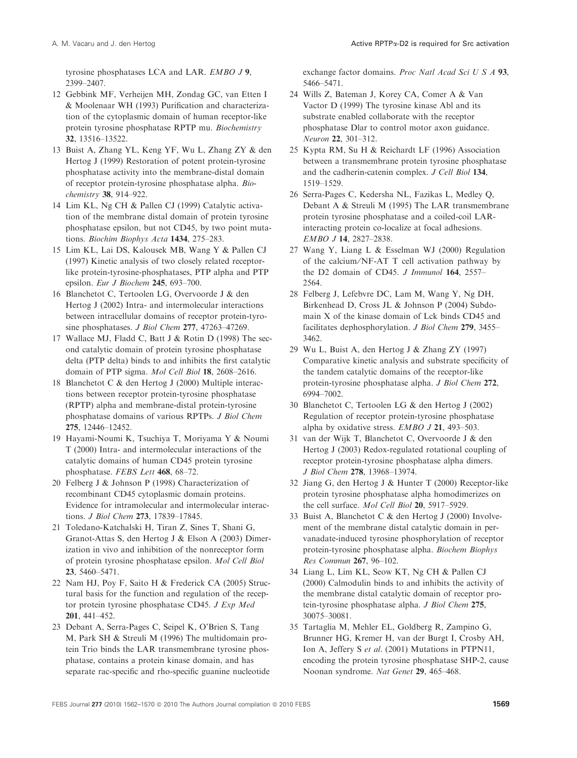tyrosine phosphatases LCA and LAR. EMBO J 9, 2399–2407.

- 12 Gebbink MF, Verheijen MH, Zondag GC, van Etten I & Moolenaar WH (1993) Purification and characterization of the cytoplasmic domain of human receptor-like protein tyrosine phosphatase RPTP mu. Biochemistry 32, 13516–13522.
- 13 Buist A, Zhang YL, Keng YF, Wu L, Zhang ZY & den Hertog J (1999) Restoration of potent protein-tyrosine phosphatase activity into the membrane-distal domain of receptor protein-tyrosine phosphatase alpha. Biochemistry 38, 914–922.
- 14 Lim KL, Ng CH & Pallen CJ (1999) Catalytic activation of the membrane distal domain of protein tyrosine phosphatase epsilon, but not CD45, by two point mutations. Biochim Biophys Acta 1434, 275-283.
- 15 Lim KL, Lai DS, Kalousek MB, Wang Y & Pallen CJ (1997) Kinetic analysis of two closely related receptorlike protein-tyrosine-phosphatases, PTP alpha and PTP epsilon. Eur J Biochem 245, 693–700.
- 16 Blanchetot C, Tertoolen LG, Overvoorde J & den Hertog J (2002) Intra- and intermolecular interactions between intracellular domains of receptor protein-tyrosine phosphatases. *J Biol Chem* 277, 47263–47269.
- 17 Wallace MJ, Fladd C, Batt J & Rotin D (1998) The second catalytic domain of protein tyrosine phosphatase delta (PTP delta) binds to and inhibits the first catalytic domain of PTP sigma. Mol Cell Biol 18, 2608–2616.
- 18 Blanchetot C & den Hertog J (2000) Multiple interactions between receptor protein-tyrosine phosphatase (RPTP) alpha and membrane-distal protein-tyrosine phosphatase domains of various RPTPs. J Biol Chem 275, 12446–12452.
- 19 Hayami-Noumi K, Tsuchiya T, Moriyama Y & Noumi T (2000) Intra- and intermolecular interactions of the catalytic domains of human CD45 protein tyrosine phosphatase. FEBS Lett 468, 68–72.
- 20 Felberg J & Johnson P (1998) Characterization of recombinant CD45 cytoplasmic domain proteins. Evidence for intramolecular and intermolecular interactions. J Biol Chem 273, 17839–17845.
- 21 Toledano-Katchalski H, Tiran Z, Sines T, Shani G, Granot-Attas S, den Hertog J & Elson A (2003) Dimerization in vivo and inhibition of the nonreceptor form of protein tyrosine phosphatase epsilon. Mol Cell Biol 23, 5460–5471.
- 22 Nam HJ, Poy F, Saito H & Frederick CA (2005) Structural basis for the function and regulation of the receptor protein tyrosine phosphatase CD45. J Exp Med 201, 441–452.
- 23 Debant A, Serra-Pages C, Seipel K, O'Brien S, Tang M, Park SH & Streuli M (1996) The multidomain protein Trio binds the LAR transmembrane tyrosine phosphatase, contains a protein kinase domain, and has separate rac-specific and rho-specific guanine nucleotide

exchange factor domains. Proc Natl Acad Sci U S A 93, 5466–5471.

- 24 Wills Z, Bateman J, Korey CA, Comer A & Van Vactor D (1999) The tyrosine kinase Abl and its substrate enabled collaborate with the receptor phosphatase Dlar to control motor axon guidance. Neuron 22, 301–312.
- 25 Kypta RM, Su H & Reichardt LF (1996) Association between a transmembrane protein tyrosine phosphatase and the cadherin-catenin complex. J Cell Biol 134, 1519–1529.
- 26 Serra-Pages C, Kedersha NL, Fazikas L, Medley Q, Debant A & Streuli M (1995) The LAR transmembrane protein tyrosine phosphatase and a coiled-coil LARinteracting protein co-localize at focal adhesions. EMBO J 14, 2827–2838.
- 27 Wang Y, Liang L & Esselman WJ (2000) Regulation of the calcium/NF-AT T cell activation pathway by the D2 domain of CD45. J Immunol 164, 2557-2564.
- 28 Felberg J, Lefebvre DC, Lam M, Wang Y, Ng DH, Birkenhead D, Cross JL & Johnson P (2004) Subdomain X of the kinase domain of Lck binds CD45 and facilitates dephosphorylation. J Biol Chem 279, 3455– 3462.
- 29 Wu L, Buist A, den Hertog J & Zhang ZY (1997) Comparative kinetic analysis and substrate specificity of the tandem catalytic domains of the receptor-like protein-tyrosine phosphatase alpha. J Biol Chem 272, 6994–7002.
- 30 Blanchetot C, Tertoolen LG & den Hertog J (2002) Regulation of receptor protein-tyrosine phosphatase alpha by oxidative stress. EMBO J 21, 493–503.
- 31 van der Wijk T, Blanchetot C, Overvoorde J & den Hertog J (2003) Redox-regulated rotational coupling of receptor protein-tyrosine phosphatase alpha dimers. J Biol Chem 278, 13968–13974.
- 32 Jiang G, den Hertog J & Hunter T (2000) Receptor-like protein tyrosine phosphatase alpha homodimerizes on the cell surface. Mol Cell Biol 20, 5917–5929.
- 33 Buist A, Blanchetot C & den Hertog J (2000) Involvement of the membrane distal catalytic domain in pervanadate-induced tyrosine phosphorylation of receptor protein-tyrosine phosphatase alpha. Biochem Biophys Res Commun 267, 96–102.
- 34 Liang L, Lim KL, Seow KT, Ng CH & Pallen CJ (2000) Calmodulin binds to and inhibits the activity of the membrane distal catalytic domain of receptor protein-tyrosine phosphatase alpha. J Biol Chem 275, 30075–30081.
- 35 Tartaglia M, Mehler EL, Goldberg R, Zampino G, Brunner HG, Kremer H, van der Burgt I, Crosby AH, Ion A, Jeffery S et al. (2001) Mutations in PTPN11, encoding the protein tyrosine phosphatase SHP-2, cause Noonan syndrome. Nat Genet 29, 465–468.